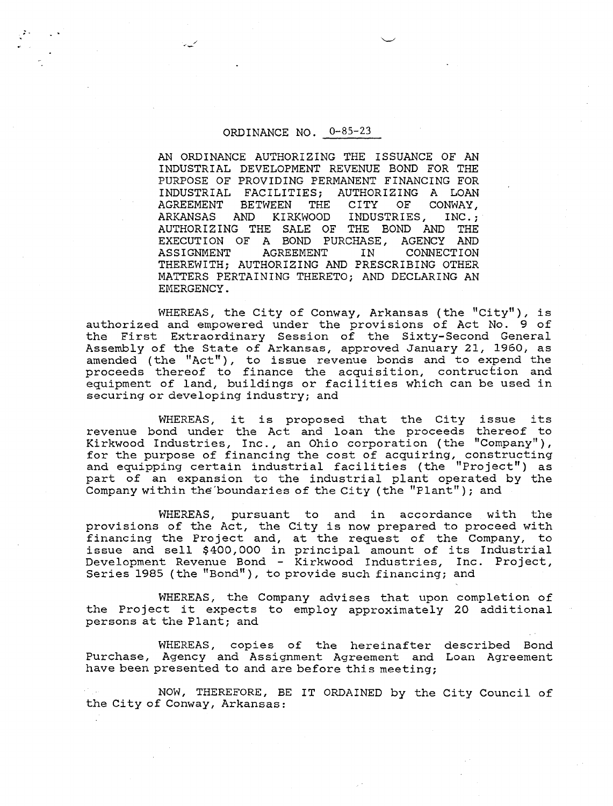## ORDINANCE NO. 0-85-23

AN ORDINANCE AUTHORIZING THE ISSUANCE OF AN INDUSTRIAL DEVELOPMENT REVENUE BOND FOR THE PURPOSE OF PROVIDING PERMANENT FINANCING FOR INDUSTRIAL FACILITIES; AUTHORIZING A LOAN<br>AGREEMENT BETWEEN THE CITY OF CONWAY, AGREEMENT BETWEEN THE ARKANSAS AND KIRKWOOD INDUSTRIES, INC.;<br>THE BOND AND THE AUTHORIZING THE SALE OF THE BOND AND THE EXECUTION OF A BOND PURCHASE, AGENCY AND EXECUTION OF A BOND PURCHASE,<br>ASSIGNMENT AGREEMENT IN CONNECTION THEREWITH; AUTHORIZING AND PRESCRIBING OTHER MATTERS PERTAINING THERETO; AND DECLARING AN EMERGENCY.

WHEREAS, the City of Conway, Arkansas (the "City"), is authorized and empowered under the provisions of Act No. 9 of the First Extraordinary Session of the Sixty-Second General Assembly of the State of Arkansas, approved January 21, 1960, as amended (the "Act"), to issue revenue bonds and to expend the proceeds thereof to finance the acquisition, contruction and equipment of land, buildings or facilities which can be used in securing or developing industry; and

WHEREAS, it is proposed that the City issue its revenue bond under the Act and loan the proceeds thereof to Kirkwood Industries, Inc., an Ohio corporation (the "Company"), for the purpose of financing the cost of acquiring, constructing and equipping certain industrial facilities (the "Project") as part of an expansion to the industrial plant operated by the Company within the'boundaries of the City (the "Plant") ; and

WHEREAS, pursuant to and in accordance with the provisions of the Act, the City is now prepared to proceed with financing the Project and, at the request of the Company, to issue and sell \$400,000 in principal amount of its Industrial 19800 and Sort 9400,000 in principal amount of 105 industrial<br>Development Revenue Bond - Kirkwood Industries, Inc. Project,<br>Series 1985 (the "Bond"), to provide such financing; and

WHEREAS, the Company advises that upon completion of the Project it expects to employ approximately 20 additional persons at the Plant; and

WHEREAS, copies of the hereinafter described Bond Purchase, Agency and Assignment Agreement and Loan Agreement have been presented to and are before this meeting;

NOW, THEREFORE, BE IT ORDAINED by the City Council of the City of Conway, Arkansas: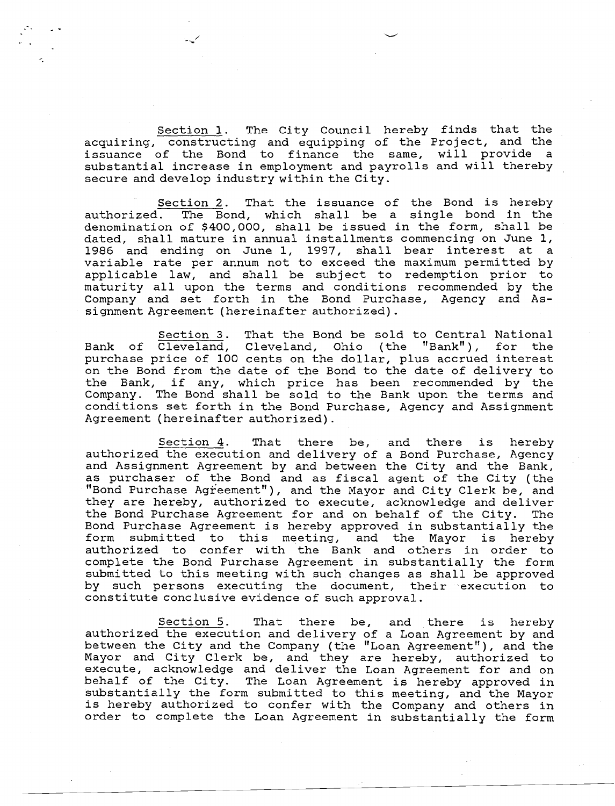Section 1. The City Council hereby finds that the acquiring, constructing and equipping of the Project, and the issuance of the Bond to finance the same, will provide a substantial increase in employment and payrolls and will thereby secure and develop industry within the City.

Section 2. That the issuance of the Bond is hereby authorized. The Bond, which shall be a single bond in the denomination of \$400,000, shall be issued in the form, shall be dated, shall mature in annual installments commencing on June 1, 1986 and ending on June 1, 1997, shall bear interest at a variable rate per annum not to exceed the maximum permitted by applicable law, and shall be subject to redemption prior to maturity all upon the terms and conditions recommended by the Company and set forth in the Bond Purchase, Agency and Assignment Agreement (hereinafter authorized).

Section 3. That the Bond be sold to Central National Bank of Cleveland, Cleveland, Ohio (the "Bank"), for the purchase price of 100 cents on the dollar, plus accrued interest on the Bond from the date of the Bond to the date of delivery to the Bank, if any, which price has been recommended by the Company. The Bond shall be sold to the Bank upon the terms and conditions set forth in the Bond Purchase, Agency and Assignment Agreement (hereinafter authorized).

Section 4. That there be, and there is hereby authorized the execution and delivery of a Bond Purchase, Agency and Assignment Agreement by and between the City and the Bank, as purchaser of the Bond and as fiscal agent of the City (the "Bond Purchase Agreement"), and the Mayor and City Clerk be, and they are hereby, authorized to execute, acknowledge and deliver the Bond Purchase Agreement for and on behalf of the City. The Bond Purchase Agreement is hereby approved in substantially the form submitted to this meeting, and the Mayor is hereby authorized to confer with the Bank and others in order to complete the Bond Purchase Agreement in substantially the form submitted to this meeting with such changes as shall be approved by such persons executing the document, their execution to constitute conclusive evidence of such approval.

Section 5. That there be, and there is hereby authorized the execution and delivery of a Loan Agreement by and between the City and the Company (the "Loan Agreement"), and the Mayor and City Clerk be, and they are hereby, authorized to execute, acknowledge and deliver the Loan Agreement for and on behalf of the City. The Loan Agreement is hereby approved in substantially the form submitted to this meeting, and the Mayor is hereby authorized to confer with the Company and others in order to complete the Loan Agreement in substantially the form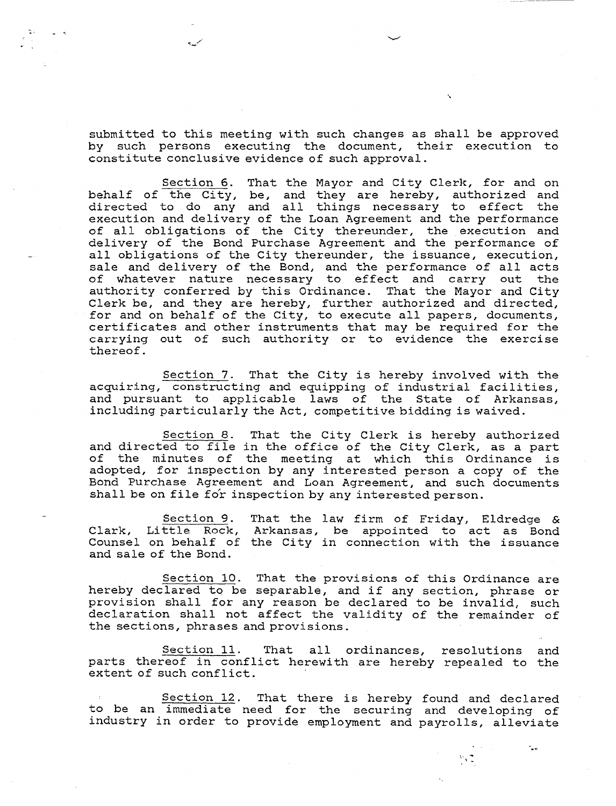submitted to this meeting with such changes as shall be approved by such persons executing the document, their execution to constitute conclusive evidence of such approval.

Section 6. That the Mayor and City Clerk, for and on behalf of the City, be, and they are hereby, authorized and directed to do any and all things necessary to effect the execution and delivery of the Loan Agreement and the performance of all obligations of the City thereunder, the execution and delivery of the Bond Purchase Agreement and the performance of all obligations of the City thereunder, the issuance, execution, sale and delivery of the Bond, and the performance of all acts of whatever nature necessary to effect and carry out the authority conferred by this Ordinance. That the Mayor and City Clerk be, and they are hereby, further authorized and directed, for and on behalf of the City, to execute all papers, documents, certificates and other instruments that may be required for the carrying out of such authority or to evidence the exercise thereof.

Section 7. That the City is hereby involved with the acquiring, constructing and equipping of industrial facilities, and pursuant to applicable laws of the State of Arkansas, including particularly the Act, competitive bidding is waived.

Section 8. That the City Clerk is hereby authorized and directed to file in the office of the City Clerk, as a part of the minutes of the meeting at which this Ordinance is adopted, for inspection by any interested person a copy of the Bond Purchase Agreement and Loan Agreement, and such documents shall be on file fo'r inspection by any interested person.

Section 9. That the law firm of Friday, Eldredge & Clark, Little Rock, Arkansas, be appointed to act as Bond Counsel on behalf of the City in connection with the issuance and sale of the Bond.

Section 10. That the provisions of this Ordinance are hereby declared to be separable, and if any section, phrase or provision shall for any reason be declared to be invalid, such declaration shall not affect the validity of the remainder of the sections, phrases and provisions.

Section 11. That all ordinances, resolutions and parts thereof in conflict herewith are hereby repealed to the extent of such conflict.

Section 12. That there is hereby found and declared to be an immediate need for the securing and developing of industry in order to provide employment and payrolls, alleviate

 $\mathcal{N}_\text{A}$  .